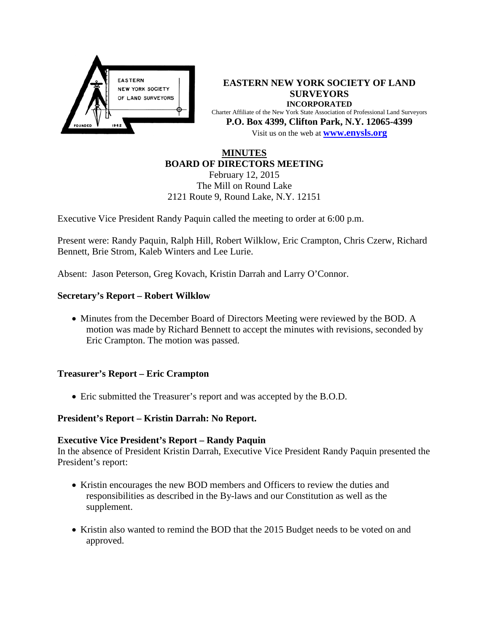

**EASTERN NEW YORK SOCIETY OF LAND SURVEYORS INCORPORATED** Charter Affiliate of the New York State Association of Professional Land Surveyors **P.O. Box 4399, Clifton Park, N.Y. 12065-4399** Visit us on the web at **[www.e](http://www.enysls.org/)nysls.org**

## **MINUTES BOARD OF DIRECTORS MEETING**

February 12, 2015 The Mill on Round Lake 2121 Route 9, Round Lake, N.Y. 12151

Executive Vice President Randy Paquin called the meeting to order at 6:00 p.m.

Present were: Randy Paquin, Ralph Hill, Robert Wilklow, Eric Crampton, Chris Czerw, Richard Bennett, Brie Strom, Kaleb Winters and Lee Lurie.

Absent: Jason Peterson, Greg Kovach, Kristin Darrah and Larry O'Connor.

### **Secretary's Report – Robert Wilklow**

• Minutes from the December Board of Directors Meeting were reviewed by the BOD. A motion was made by Richard Bennett to accept the minutes with revisions, seconded by Eric Crampton. The motion was passed.

#### **Treasurer's Report – Eric Crampton**

• Eric submitted the Treasurer's report and was accepted by the B.O.D.

## **President's Report – Kristin Darrah: No Report.**

#### **Executive Vice President's Report – Randy Paquin**

In the absence of President Kristin Darrah, Executive Vice President Randy Paquin presented the President's report:

- Kristin encourages the new BOD members and Officers to review the duties and responsibilities as described in the By-laws and our Constitution as well as the supplement.
- Kristin also wanted to remind the BOD that the 2015 Budget needs to be voted on and approved.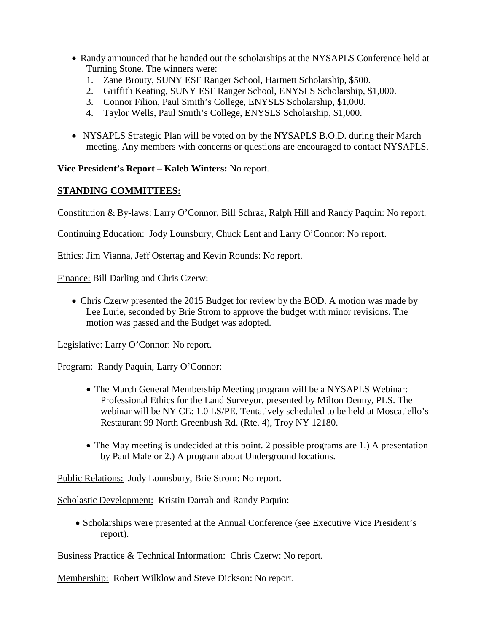- Randy announced that he handed out the scholarships at the NYSAPLS Conference held at Turning Stone. The winners were:
	- 1. Zane Brouty, SUNY ESF Ranger School, Hartnett Scholarship, \$500.
	- 2. Griffith Keating, SUNY ESF Ranger School, ENYSLS Scholarship, \$1,000.
	- 3. Connor Filion, Paul Smith's College, ENYSLS Scholarship, \$1,000.
	- 4. Taylor Wells, Paul Smith's College, ENYSLS Scholarship, \$1,000.
- NYSAPLS Strategic Plan will be voted on by the NYSAPLS B.O.D. during their March meeting. Any members with concerns or questions are encouraged to contact NYSAPLS.

**Vice President's Report – Kaleb Winters:** No report.

# **STANDING COMMITTEES:**

Constitution & By-laws: Larry O'Connor, Bill Schraa, Ralph Hill and Randy Paquin: No report.

Continuing Education: Jody Lounsbury, Chuck Lent and Larry O'Connor: No report.

Ethics: Jim Vianna, Jeff Ostertag and Kevin Rounds: No report.

Finance: Bill Darling and Chris Czerw:

• Chris Czerw presented the 2015 Budget for review by the BOD. A motion was made by Lee Lurie, seconded by Brie Strom to approve the budget with minor revisions. The motion was passed and the Budget was adopted.

Legislative: Larry O'Connor: No report.

Program: Randy Paquin, Larry O'Connor:

- The March General Membership Meeting program will be a NYSAPLS Webinar: Professional Ethics for the Land Surveyor, presented by Milton Denny, PLS. The webinar will be NY CE: 1.0 LS/PE. Tentatively scheduled to be held at Moscatiello's Restaurant 99 North Greenbush Rd. (Rte. 4), Troy NY 12180.
- The May meeting is undecided at this point. 2 possible programs are 1.) A presentation by Paul Male or 2.) A program about Underground locations.

Public Relations: Jody Lounsbury, Brie Strom: No report.

Scholastic Development: Kristin Darrah and Randy Paquin:

• Scholarships were presented at the Annual Conference (see Executive Vice President's report).

Business Practice & Technical Information: Chris Czerw: No report.

Membership: Robert Wilklow and Steve Dickson: No report.